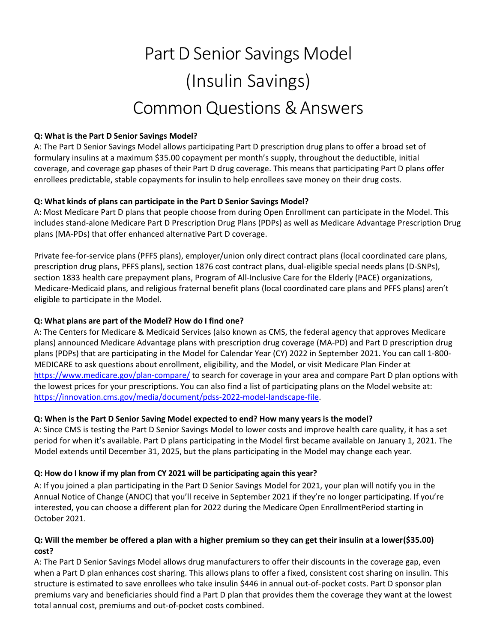# Part D Senior Savings Model (Insulin Savings) CommonQuestions& Answers

#### **Q: What is the Part D Senior Savings Model?**

A: The Part D Senior Savings Model allows participating Part D prescription drug plans to offer a broad set of formulary insulins at a maximum \$35.00 copayment per month's supply, throughout the deductible, initial coverage, and coverage gap phases of their Part D drug coverage. This means that participating Part D plans offer enrollees predictable, stable copayments for insulin to help enrollees save money on their drug costs.

#### **Q: What kinds of plans can participate in the Part D Senior Savings Model?**

A: Most Medicare Part D plans that people choose from during Open Enrollment can participate in the Model. This includes stand-alone Medicare Part D Prescription Drug Plans (PDPs) as well as Medicare Advantage Prescription Drug plans (MA-PDs) that offer enhanced alternative Part D coverage.

Private fee-for-service plans (PFFS plans), employer/union only direct contract plans (local coordinated care plans, prescription drug plans, PFFS plans), section 1876 cost contract plans, dual-eligible special needs plans (D-SNPs), section 1833 health care prepayment plans, Program of All-Inclusive Care for the Elderly (PACE) organizations, Medicare-Medicaid plans, and religious fraternal benefit plans (local coordinated care plans and PFFS plans) aren't eligible to participate in the Model.

## **Q: What plans are part of the Model? How do I find one?**

A: The Centers for Medicare & Medicaid Services (also known as CMS, the federal agency that approves Medicare plans) announced Medicare Advantage plans with prescription drug coverage (MA-PD) and Part D prescription drug plans (PDPs) that are participating in the Model for Calendar Year (CY) 2022 in September 2021. You can call 1-800- MEDICARE to ask questions about enrollment, eligibility, and the Model, or visit Medicare Plan Finder at <https://www.medicare.gov/plan-compare/> to search for coverage in your area and compare Part D plan options with the lowest prices for your prescriptions. You can also find a list of participating plans on the Model website at: [https://innovation.cms.gov/media/document/pdss-2022-model-landscape-file.](https://innovation.cms.gov/media/document/pdss-2022-model-landscape-file)

#### **Q: When is the Part D Senior Saving Model expected to end? How many years is the model?**

A: Since CMS is testing the Part D Senior Savings Model to lower costs and improve health care quality, it has a set period for when it's available. Part D plans participating in the Model first became available on January 1, 2021. The Model extends until December 31, 2025, but the plans participating in the Model may change each year.

# **Q: How do I know if my plan from CY 2021 will be participating again this year?**

A: If you joined a plan participating in the Part D Senior Savings Model for 2021, your plan will notify you in the Annual Notice of Change (ANOC) that you'll receive in September 2021 if they're no longer participating. If you're interested, you can choose a different plan for 2022 during the Medicare Open EnrollmentPeriod starting in October 2021.

#### **Q: Will the member be offered a plan with a higher premium so they can get their insulin at a lower (\$35.00) cost?**

A: The Part D Senior Savings Model allows drug manufacturers to offer their discounts in the coverage gap, even when a Part D plan enhances cost sharing. This allows plans to offer a fixed, consistent cost sharing on insulin. This structure is estimated to save enrollees who take insulin \$446 in annual out-of-pocket costs. Part D sponsor plan premiums vary and beneficiaries should find a Part D plan that provides them the coverage they want at the lowest total annual cost, premiums and out-of-pocket costs combined.